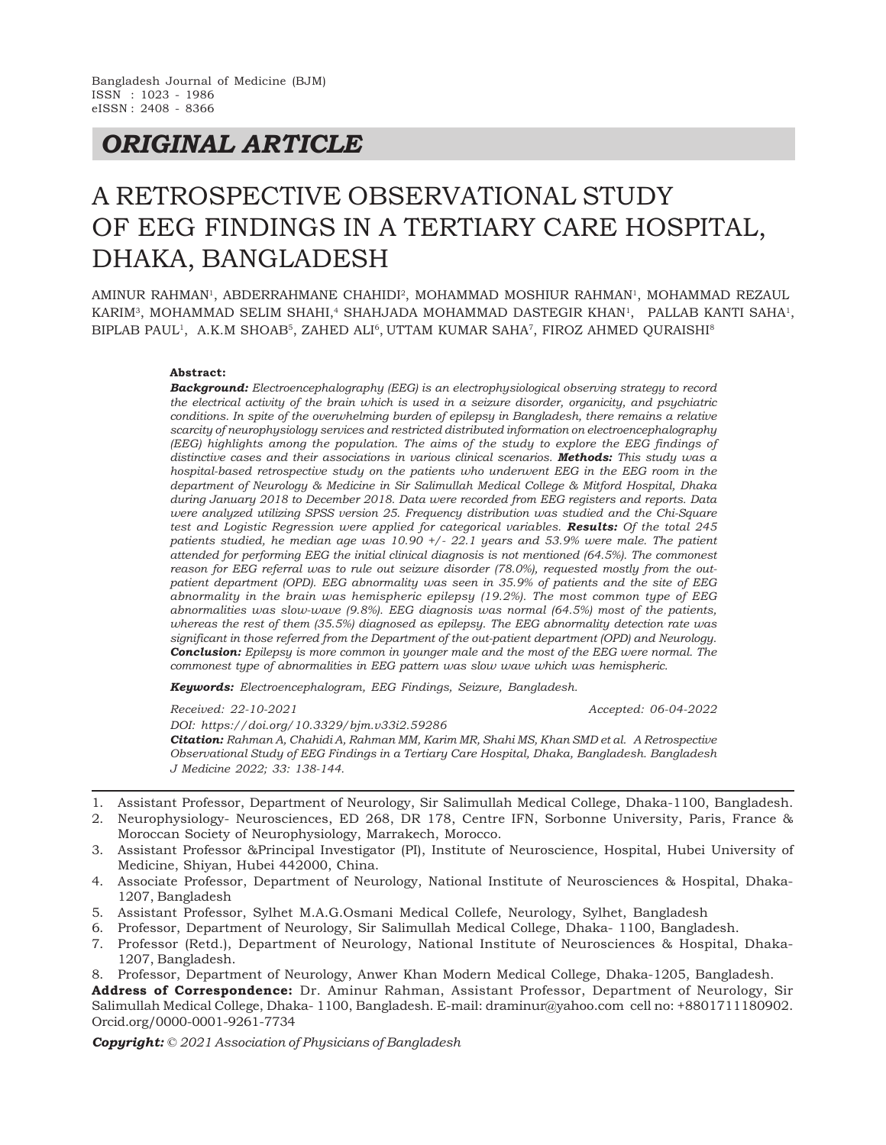## *ORIGINAL ARTICLE*

# A RETROSPECTIVE OBSERVATIONAL STUDY OF EEG FINDINGS IN A TERTIARY CARE HOSPITAL, DHAKA, BANGLADESH

AMINUR RAHMAN<sup>1</sup>, ABDERRAHMANE CHAHIDI<sup>2</sup>, MOHAMMAD MOSHIUR RAHMAN<sup>1</sup>, MOHAMMAD REZAUL KARIM<sup>3</sup>, MOHAMMAD SELIM SHAHI,<sup>4</sup> SHAHJADA MOHAMMAD DASTEGIR KHAN<sup>1</sup>, PALLAB KANTI SAHA<sup>1</sup>, BIPLAB PAUL<sup>1</sup>, A.K.M SHOAB<sup>5</sup>, ZAHED ALI<sup>6</sup>, UTTAM KUMAR SAHA<sup>7</sup>, FIROZ AHMED QURAISHI<sup>8</sup>

#### **Abstract:**

*Background: Electroencephalography (EEG) is an electrophysiological observing strategy to record the electrical activity of the brain which is used in a seizure disorder, organicity, and psychiatric conditions. In spite of the overwhelming burden of epilepsy in Bangladesh, there remains a relative scarcity of neurophysiology services and restricted distributed information on electroencephalography (EEG) highlights among the population. The aims of the study to explore the EEG findings of distinctive cases and their associations in various clinical scenarios. Methods: This study was a hospital-based retrospective study on the patients who underwent EEG in the EEG room in the department of Neurology & Medicine in Sir Salimullah Medical College & Mitford Hospital, Dhaka during January 2018 to December 2018. Data were recorded from EEG registers and reports. Data were analyzed utilizing SPSS version 25. Frequency distribution was studied and the Chi-Square test and Logistic Regression were applied for categorical variables. Results: Of the total 245 patients studied, he median age was 10.90 +/- 22.1 years and 53.9% were male. The patient attended for performing EEG the initial clinical diagnosis is not mentioned (64.5%). The commonest reason for EEG referral was to rule out seizure disorder (78.0%), requested mostly from the outpatient department (OPD). EEG abnormality was seen in 35.9% of patients and the site of EEG abnormality in the brain was hemispheric epilepsy (19.2%). The most common type of EEG abnormalities was slow-wave (9.8%). EEG diagnosis was normal (64.5%) most of the patients, whereas the rest of them (35.5%) diagnosed as epilepsy. The EEG abnormality detection rate was significant in those referred from the Department of the out-patient department (OPD) and Neurology. Conclusion: Epilepsy is more common in younger male and the most of the EEG were normal. The commonest type of abnormalities in EEG pattern was slow wave which was hemispheric.*

*Keywords: Electroencephalogram, EEG Findings, Seizure, Bangladesh.*

*Received: 22-10-2021 Accepted: 06-04-2022*

*DOI: https://doi.org/10.3329/bjm.v33i2.59286*

*Citation: Rahman A, Chahidi A, Rahman MM, Karim MR, Shahi MS, Khan SMD et al. A Retrospective Observational Study of EEG Findings in a Tertiary Care Hospital, Dhaka, Bangladesh. Bangladesh J Medicine 2022; 33: 138-144.*

- 1. Assistant Professor, Department of Neurology, Sir Salimullah Medical College, Dhaka-1100, Bangladesh.
- 2. Neurophysiology- Neurosciences, ED 268, DR 178, Centre IFN, Sorbonne University, Paris, France & Moroccan Society of Neurophysiology, Marrakech, Morocco.
- 3. Assistant Professor &Principal Investigator (PI), Institute of Neuroscience, Hospital, Hubei University of Medicine, Shiyan, Hubei 442000, China.
- 4. Associate Professor, Department of Neurology, National Institute of Neurosciences & Hospital, Dhaka-1207, Bangladesh
- 5. Assistant Professor, Sylhet M.A.G.Osmani Medical Collefe, Neurology, Sylhet, Bangladesh
- 6. Professor, Department of Neurology, Sir Salimullah Medical College, Dhaka- 1100, Bangladesh.
- 7. Professor (Retd.), Department of Neurology, National Institute of Neurosciences & Hospital, Dhaka-1207, Bangladesh.

8. Professor, Department of Neurology, Anwer Khan Modern Medical College, Dhaka-1205, Bangladesh.

**Address of Correspondence:** Dr. Aminur Rahman, Assistant Professor, Department of Neurology, Sir Salimullah Medical College, Dhaka- 1100, Bangladesh. E-mail: draminur@yahoo.com cell no: +8801711180902. Orcid.org/0000-0001-9261-7734

*Copyright: © 2021 Association of Physicians of Bangladesh*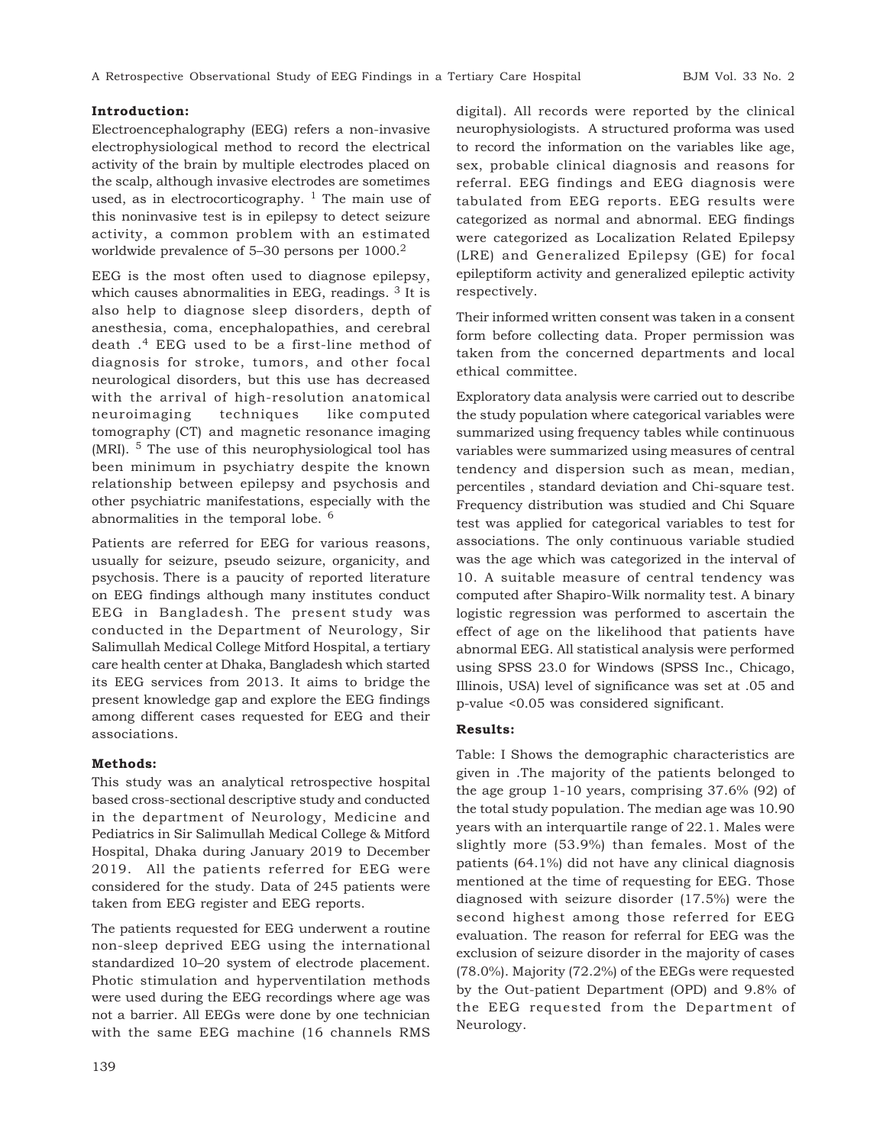#### **Introduction:**

Electroencephalography (EEG) refers a non-invasive electrophysiological method to record the electrical activity of the brain by multiple electrodes placed on the scalp, although invasive electrodes are sometimes used, as in electrocorticography.  $1$  The main use of this noninvasive test is in epilepsy to detect seizure activity, a common problem with an estimated worldwide prevalence of 5–30 persons per 1000.<sup>2</sup>

EEG is the most often used to diagnose epilepsy, which causes abnormalities in EEG, readings.  $3$  It is also help to diagnose sleep disorders, depth of anesthesia, coma, encephalopathies, and cerebral death .4 EEG used to be a first-line method of diagnosis for stroke, tumors, and other focal neurological disorders, but this use has decreased with the arrival of high-resolution anatomical neuroimaging techniques like computed tomography (CT) and magnetic resonance imaging (MRI). 5 The use of this neurophysiological tool has been minimum in psychiatry despite the known relationship between epilepsy and psychosis and other psychiatric manifestations, especially with the abnormalities in the temporal lobe. <sup>6</sup>

Patients are referred for EEG for various reasons, usually for seizure, pseudo seizure, organicity, and psychosis. There is a paucity of reported literature on EEG findings although many institutes conduct EEG in Bangladesh. The present study was conducted in the Department of Neurology, Sir Salimullah Medical College Mitford Hospital, a tertiary care health center at Dhaka, Bangladesh which started its EEG services from 2013. It aims to bridge the present knowledge gap and explore the EEG findings among different cases requested for EEG and their associations.

#### **Methods:**

This study was an analytical retrospective hospital based cross-sectional descriptive study and conducted in the department of Neurology, Medicine and Pediatrics in Sir Salimullah Medical College & Mitford Hospital, Dhaka during January 2019 to December 2019. All the patients referred for EEG were considered for the study. Data of 245 patients were taken from EEG register and EEG reports.

The patients requested for EEG underwent a routine non-sleep deprived EEG using the international standardized 10–20 system of electrode placement. Photic stimulation and hyperventilation methods were used during the EEG recordings where age was not a barrier. All EEGs were done by one technician with the same EEG machine (16 channels RMS digital). All records were reported by the clinical neurophysiologists. A structured proforma was used to record the information on the variables like age, sex, probable clinical diagnosis and reasons for referral. EEG findings and EEG diagnosis were tabulated from EEG reports. EEG results were categorized as normal and abnormal. EEG findings were categorized as Localization Related Epilepsy (LRE) and Generalized Epilepsy (GE) for focal epileptiform activity and generalized epileptic activity respectively.

Their informed written consent was taken in a consent form before collecting data. Proper permission was taken from the concerned departments and local ethical committee.

Exploratory data analysis were carried out to describe the study population where categorical variables were summarized using frequency tables while continuous variables were summarized using measures of central tendency and dispersion such as mean, median, percentiles , standard deviation and Chi-square test. Frequency distribution was studied and Chi Square test was applied for categorical variables to test for associations. The only continuous variable studied was the age which was categorized in the interval of 10. A suitable measure of central tendency was computed after Shapiro-Wilk normality test. A binary logistic regression was performed to ascertain the effect of age on the likelihood that patients have abnormal EEG. All statistical analysis were performed using SPSS 23.0 for Windows (SPSS Inc., Chicago, Illinois, USA) level of significance was set at .05 and p-value <0.05 was considered significant.

#### **Results:**

Table: I Shows the demographic characteristics are given in .The majority of the patients belonged to the age group 1-10 years, comprising 37.6% (92) of the total study population. The median age was 10.90 years with an interquartile range of 22.1. Males were slightly more (53.9%) than females. Most of the patients (64.1%) did not have any clinical diagnosis mentioned at the time of requesting for EEG. Those diagnosed with seizure disorder (17.5%) were the second highest among those referred for EEG evaluation. The reason for referral for EEG was the exclusion of seizure disorder in the majority of cases (78.0%). Majority (72.2%) of the EEGs were requested by the Out-patient Department (OPD) and 9.8% of the EEG requested from the Department of Neurology.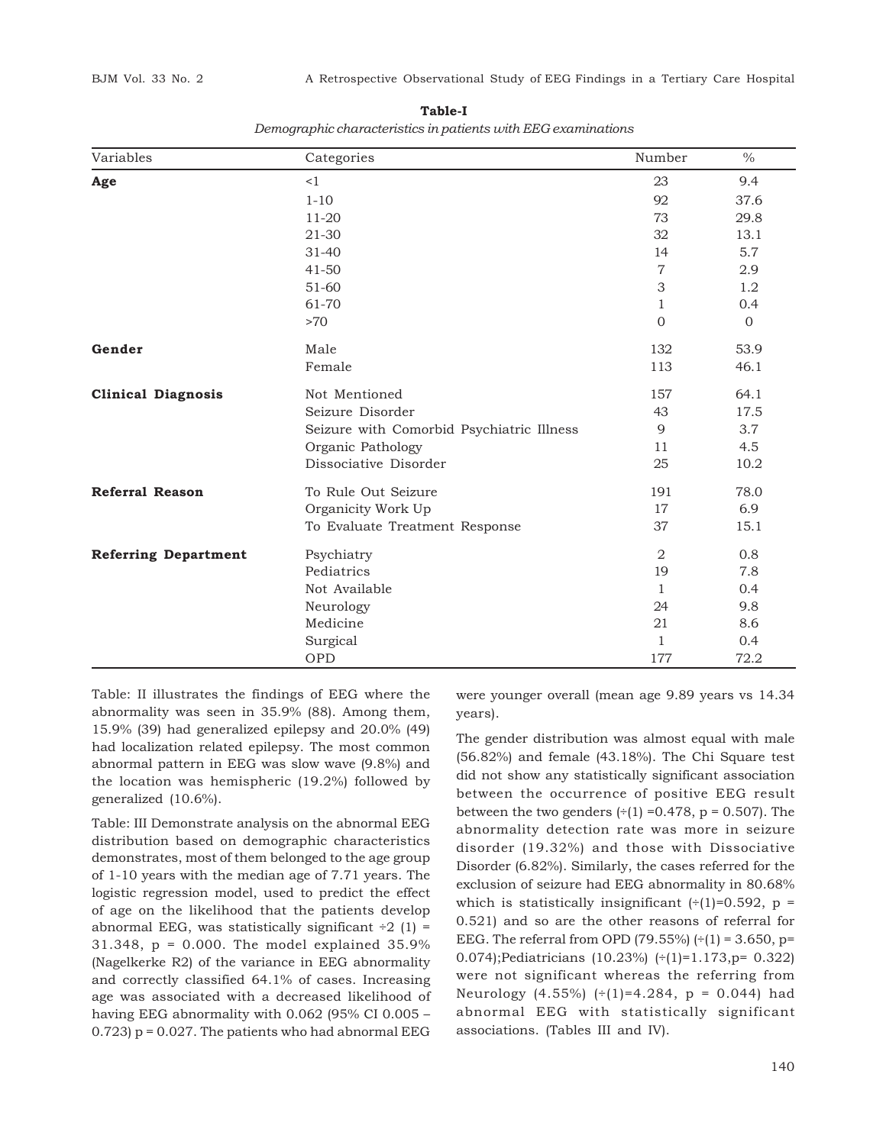| Variables                   | Categories                                | Number                    | $\%$           |
|-----------------------------|-------------------------------------------|---------------------------|----------------|
| Age                         | <1                                        | 23                        | 9.4            |
|                             | $1 - 10$                                  | 92                        | 37.6           |
|                             | $11-20$                                   | 73                        | 29.8           |
|                             | 21-30                                     | 32                        | 13.1           |
|                             | $31 - 40$                                 | 14                        | 5.7            |
|                             | $41 - 50$                                 | $\overline{7}$            | 2.9            |
|                             | 51-60                                     | $\ensuremath{\mathsf{3}}$ | 1.2            |
|                             | 61-70                                     | $\mathbf{1}$              | 0.4            |
|                             | >70                                       | $\overline{0}$            | $\overline{0}$ |
| Gender                      | Male                                      | 132                       | 53.9           |
|                             | Female                                    | 113                       | 46.1           |
| <b>Clinical Diagnosis</b>   | Not Mentioned                             | 157                       | 64.1           |
|                             | Seizure Disorder                          | 43                        | 17.5           |
|                             | Seizure with Comorbid Psychiatric Illness | 9                         | 3.7            |
|                             | Organic Pathology                         | 11                        | 4.5            |
|                             | Dissociative Disorder                     | 25                        | 10.2           |
| <b>Referral Reason</b>      | To Rule Out Seizure                       | 191                       | 78.0           |
|                             | Organicity Work Up                        | 17                        | 6.9            |
|                             | To Evaluate Treatment Response            | 37                        | 15.1           |
| <b>Referring Department</b> | Psychiatry                                | 2                         | 0.8            |
|                             | Pediatrics                                | 19                        | 7.8            |
|                             | Not Available                             | $\mathbf{1}$              | 0.4            |
|                             | Neurology                                 | 24                        | 9.8            |
|                             | Medicine                                  | 21                        | 8.6            |
|                             | Surgical                                  | $\mathbf{1}$              | 0.4            |
|                             | OPD                                       | 177                       | 72.2           |

**Table-I** *Demographic characteristics in patients with EEG examinations*

Table: II illustrates the findings of EEG where the abnormality was seen in 35.9% (88). Among them, 15.9% (39) had generalized epilepsy and 20.0% (49) had localization related epilepsy. The most common abnormal pattern in EEG was slow wave (9.8%) and the location was hemispheric (19.2%) followed by generalized (10.6%).

Table: III Demonstrate analysis on the abnormal EEG distribution based on demographic characteristics demonstrates, most of them belonged to the age group of 1-10 years with the median age of 7.71 years. The logistic regression model, used to predict the effect of age on the likelihood that the patients develop abnormal EEG, was statistically significant  $\div 2$  (1) = 31.348, p = 0.000. The model explained 35.9% (Nagelkerke R2) of the variance in EEG abnormality and correctly classified 64.1% of cases. Increasing age was associated with a decreased likelihood of having EEG abnormality with 0.062 (95% CI 0.005 – 0.723)  $p = 0.027$ . The patients who had abnormal EEG

were younger overall (mean age 9.89 years vs 14.34 years).

The gender distribution was almost equal with male (56.82%) and female (43.18%). The Chi Square test did not show any statistically significant association between the occurrence of positive EEG result between the two genders  $(\div(1) = 0.478, p = 0.507)$ . The abnormality detection rate was more in seizure disorder (19.32%) and those with Dissociative Disorder (6.82%). Similarly, the cases referred for the exclusion of seizure had EEG abnormality in 80.68% which is statistically insignificant  $(\div(1)=0.592, p =$ 0.521) and so are the other reasons of referral for EEG. The referral from OPD (79.55%)  $(+ (1) = 3.650, p=$ 0.074);Pediatricians (10.23%) (÷(1)=1.173,p= 0.322) were not significant whereas the referring from Neurology (4.55%)  $(+1) = 4.284$ ,  $p = 0.044$ ) had abnormal EEG with statistically significant associations. (Tables III and IV).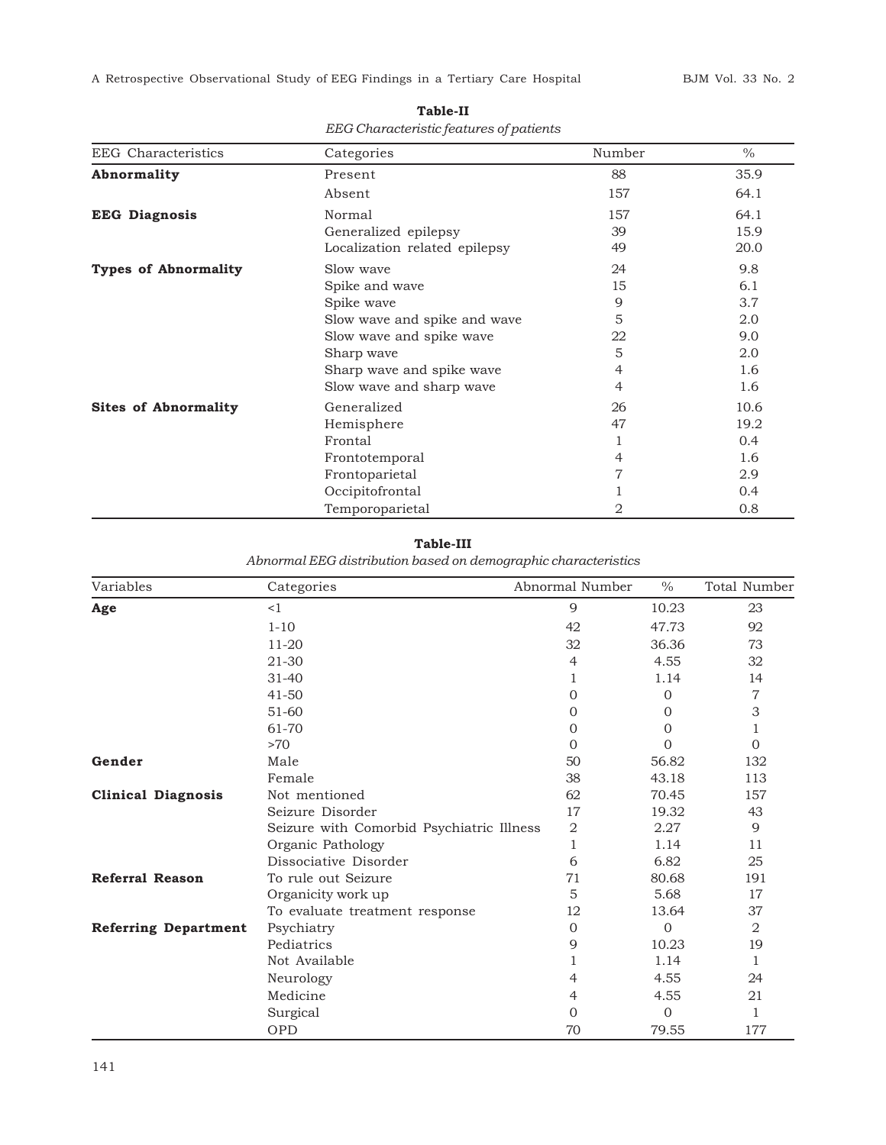A Retrospective Observational Study of EEG Findings in a Tertiary Care Hospital BJM Vol. 33 No. 2

| <b>EEG</b> Characteristics  | Categories                    | Number         | $\%$ |
|-----------------------------|-------------------------------|----------------|------|
| Abnormality                 | Present                       | 88             | 35.9 |
|                             | Absent                        | 157            | 64.1 |
| <b>EEG Diagnosis</b>        | Normal                        | 157            | 64.1 |
|                             | Generalized epilepsy          | 39             | 15.9 |
|                             | Localization related epilepsy | 49             | 20.0 |
| <b>Types of Abnormality</b> | Slow wave                     | 24             | 9.8  |
|                             | Spike and wave                | 15             | 6.1  |
|                             | Spike wave                    | 9              | 3.7  |
|                             | Slow wave and spike and wave  | 5              | 2.0  |
|                             | Slow wave and spike wave      | 22             | 9.0  |
|                             | Sharp wave                    | 5              | 2.0  |
|                             | Sharp wave and spike wave     | 4              | 1.6  |
|                             | Slow wave and sharp wave      | 4              | 1.6  |
| <b>Sites of Abnormality</b> | Generalized                   | 26             | 10.6 |
|                             | Hemisphere                    | 47             | 19.2 |
|                             | Frontal                       |                | 0.4  |
|                             | Frontotemporal                | 4              | 1.6  |
|                             | Frontoparietal                | $\overline{7}$ | 2.9  |
|                             | Occipitofrontal               |                | 0.4  |
|                             | Temporoparietal               | 2              | 0.8  |

**Table-II** *EEG Characteristic features of patients*

## **Table-III**

*Abnormal EEG distribution based on demographic characteristics*

| Variables                   | Categories                                | Abnormal Number | $\%$           | Total Number |
|-----------------------------|-------------------------------------------|-----------------|----------------|--------------|
| Age                         | <1                                        | 9               | 10.23          | 23           |
|                             | $1 - 10$                                  | 42              | 47.73          | 92           |
|                             | $11 - 20$                                 | 32              | 36.36          | 73           |
|                             | 21-30                                     | 4               | 4.55           | 32           |
|                             | $31 - 40$                                 |                 | 1.14           | 14           |
|                             | $41 - 50$                                 | $\overline{0}$  | $\overline{0}$ | 7            |
|                             | $51-60$                                   | 0               | $\Omega$       | 3            |
|                             | 61-70                                     | 0               | 0              | 1            |
|                             | >70                                       | $\Omega$        | $\Omega$       | 0            |
| Gender                      | Male                                      | 50              | 56.82          | 132          |
|                             | Female                                    | 38              | 43.18          | 113          |
| <b>Clinical Diagnosis</b>   | Not mentioned                             | 62              | 70.45          | 157          |
|                             | Seizure Disorder                          | 17              | 19.32          | 43           |
|                             | Seizure with Comorbid Psychiatric Illness | $\overline{2}$  | 2.27           | 9            |
|                             | Organic Pathology                         | 1               | 1.14           | 11           |
|                             | Dissociative Disorder                     | 6               | 6.82           | 25           |
| <b>Referral Reason</b>      | To rule out Seizure                       | 71              | 80.68          | 191          |
|                             | Organicity work up                        | 5               | 5.68           | 17           |
|                             | To evaluate treatment response            | 12              | 13.64          | 37           |
| <b>Referring Department</b> | Psychiatry                                | $\Omega$        | $\Omega$       | 2            |
|                             | Pediatrics                                | 9               | 10.23          | 19           |
|                             | Not Available                             |                 | 1.14           | 1            |
|                             | Neurology                                 | 4               | 4.55           | 24           |
|                             | Medicine                                  | $\overline{4}$  | 4.55           | 21           |
|                             | Surgical                                  | $\Omega$        | $\mathbf{0}$   | 1            |
|                             | OPD                                       | 70              | 79.55          | 177          |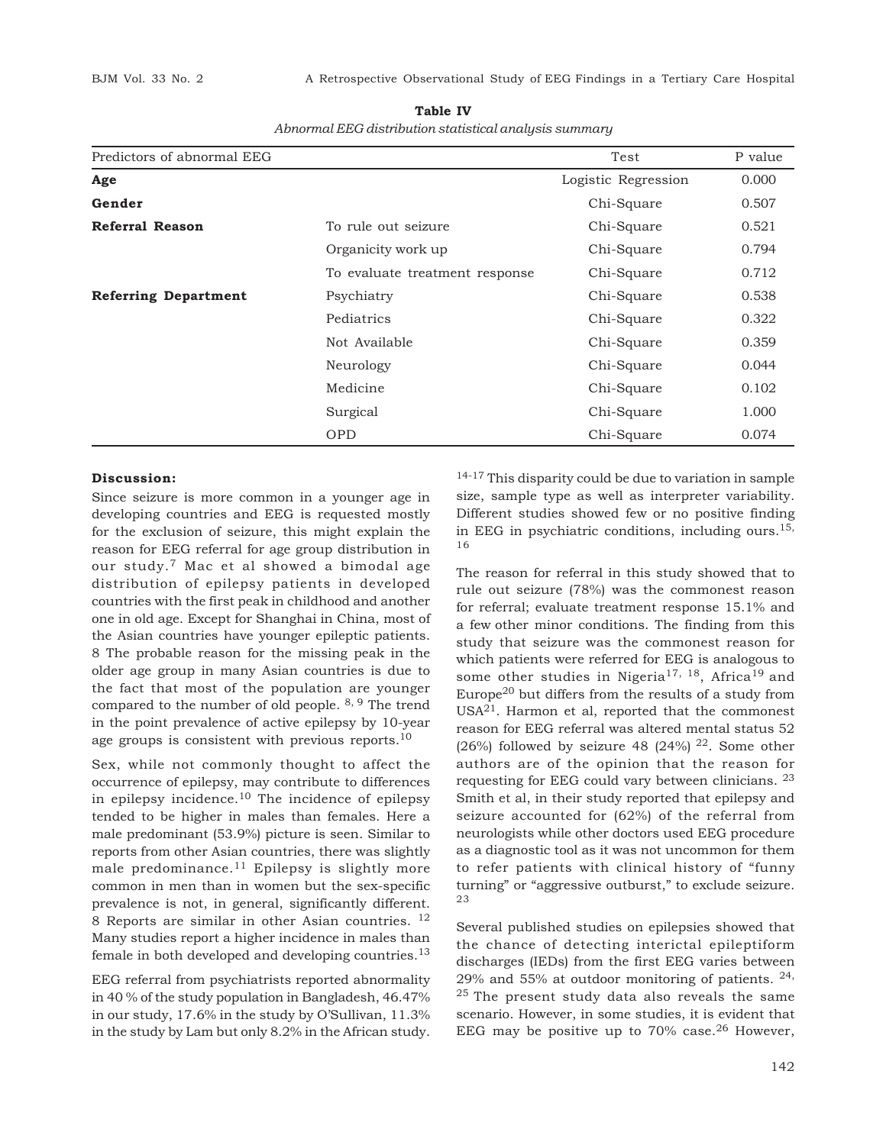**Table IV**

| Abnormal EEG distribution statistical analysis summary |  |
|--------------------------------------------------------|--|
|                                                        |  |

| Predictors of abnormal EEG  |                                 | Test                | P value |
|-----------------------------|---------------------------------|---------------------|---------|
| Age                         |                                 | Logistic Regression | 0.000   |
| Gender                      |                                 | Chi-Square          | 0.507   |
| Referral Reason             | To rule out seizure             | Chi-Square          | 0.521   |
|                             | Organicity work up              | Chi-Square          | 0.794   |
|                             | To evaluate treatment response. | Chi-Square          | 0.712   |
| <b>Referring Department</b> | Psychiatry                      | Chi-Square          | 0.538   |
|                             | Pediatrics                      | Chi-Square          | 0.322   |
|                             | Not Available                   | Chi-Square          | 0.359   |
|                             | Neurology                       | Chi-Square          | 0.044   |
|                             | Medicine                        | Chi-Square          | 0.102   |
|                             | Surgical                        | Chi-Square          | 1.000   |
|                             | <b>OPD</b>                      | Chi-Square          | 0.074   |

### **Discussion:**

Since seizure is more common in a younger age in developing countries and EEG is requested mostly for the exclusion of seizure, this might explain the reason for EEG referral for age group distribution in our study.7 Mac et al showed a bimodal age distribution of epilepsy patients in developed countries with the first peak in childhood and another one in old age. Except for Shanghai in China, most of the Asian countries have younger epileptic patients. 8 The probable reason for the missing peak in the older age group in many Asian countries is due to the fact that most of the population are younger compared to the number of old people.  $8, 9$  The trend in the point prevalence of active epilepsy by 10-year age groups is consistent with previous reports.<sup>10</sup>

Sex, while not commonly thought to affect the occurrence of epilepsy, may contribute to differences in epilepsy incidence.<sup>10</sup> The incidence of epilepsy tended to be higher in males than females. Here a male predominant (53.9%) picture is seen. Similar to reports from other Asian countries, there was slightly male predominance.<sup>11</sup> Epilepsy is slightly more common in men than in women but the sex-specific prevalence is not, in general, significantly different. 8 Reports are similar in other Asian countries. <sup>12</sup> Many studies report a higher incidence in males than female in both developed and developing countries.<sup>13</sup>

EEG referral from psychiatrists reported abnormality in 40 % of the study population in Bangladesh, 46.47% in our study, 17.6% in the study by O'Sullivan, 11.3% in the study by Lam but only 8.2% in the African study.

14-17 This disparity could be due to variation in sample size, sample type as well as interpreter variability. Different studies showed few or no positive finding in EEG in psychiatric conditions, including ours.<sup>15,</sup> 16

The reason for referral in this study showed that to rule out seizure (78%) was the commonest reason for referral; evaluate treatment response 15.1% and a few other minor conditions. The finding from this study that seizure was the commonest reason for which patients were referred for EEG is analogous to some other studies in Nigeria<sup>17, 18</sup>, Africa<sup>19</sup> and Europe<sup>20</sup> but differs from the results of a study from  $USA<sup>21</sup>$ . Harmon et al, reported that the commonest reason for EEG referral was altered mental status 52 (26%) followed by seizure 48 (24%)  $^{22}$ . Some other authors are of the opinion that the reason for requesting for EEG could vary between clinicians. <sup>23</sup> Smith et al, in their study reported that epilepsy and seizure accounted for (62%) of the referral from neurologists while other doctors used EEG procedure as a diagnostic tool as it was not uncommon for them to refer patients with clinical history of "funny turning" or "aggressive outburst," to exclude seizure. 23

Several published studies on epilepsies showed that the chance of detecting interictal epileptiform discharges (IEDs) from the first EEG varies between 29% and 55% at outdoor monitoring of patients. 24,  $25$  The present study data also reveals the same scenario. However, in some studies, it is evident that EEG may be positive up to  $70\%$  case.<sup>26</sup> However,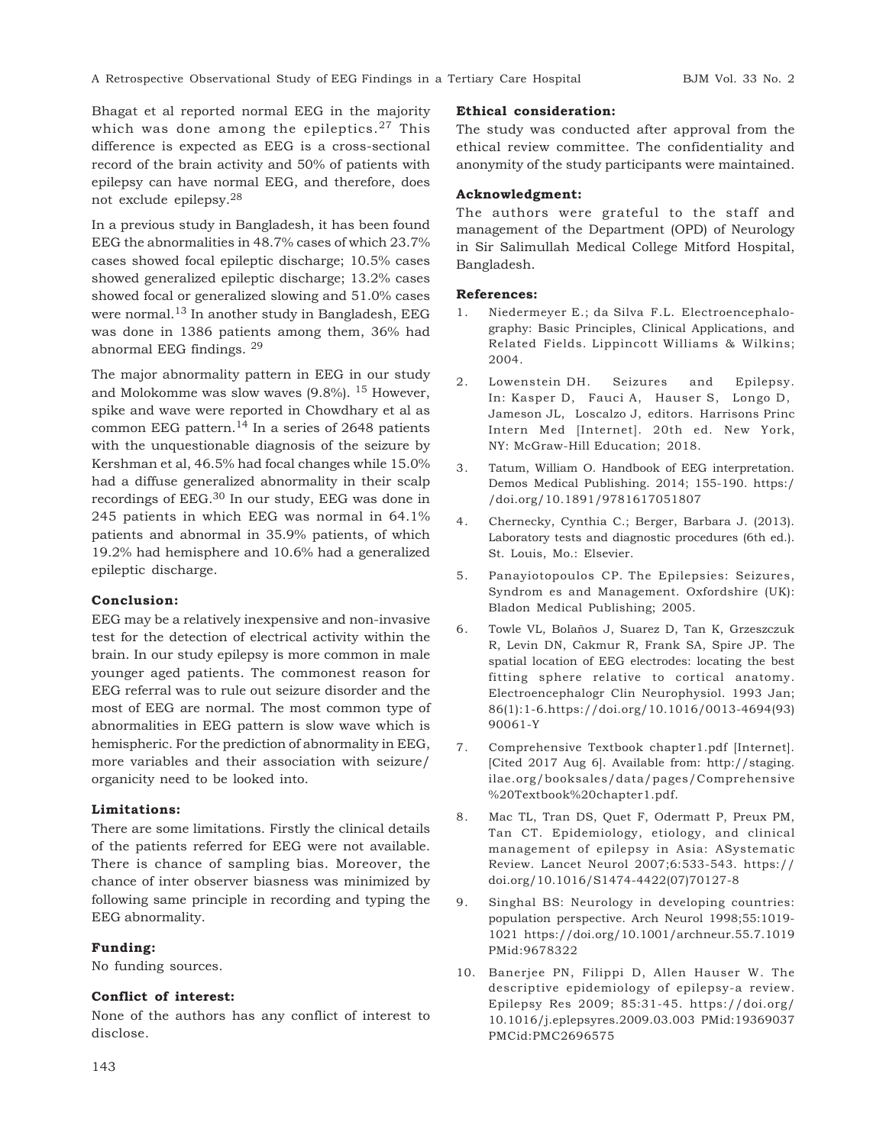Bhagat et al reported normal EEG in the majority which was done among the epileptics.<sup>27</sup> This difference is expected as EEG is a cross-sectional record of the brain activity and 50% of patients with epilepsy can have normal EEG, and therefore, does not exclude epilepsy.<sup>28</sup>

In a previous study in Bangladesh, it has been found EEG the abnormalities in 48.7% cases of which 23.7% cases showed focal epileptic discharge; 10.5% cases showed generalized epileptic discharge; 13.2% cases showed focal or generalized slowing and 51.0% cases were normal.<sup>13</sup> In another study in Bangladesh, EEG was done in 1386 patients among them, 36% had abnormal EEG findings. <sup>29</sup>

The major abnormality pattern in EEG in our study and Molokomme was slow waves (9.8%). 15 However, spike and wave were reported in Chowdhary et al as common EEG pattern. $^{14}$  In a series of 2648 patients with the unquestionable diagnosis of the seizure by Kershman et al, 46.5% had focal changes while 15.0% had a diffuse generalized abnormality in their scalp recordings of EEG.30 In our study, EEG was done in 245 patients in which EEG was normal in 64.1% patients and abnormal in 35.9% patients, of which 19.2% had hemisphere and 10.6% had a generalized epileptic discharge.

#### **Conclusion:**

EEG may be a relatively inexpensive and non-invasive test for the detection of electrical activity within the brain. In our study epilepsy is more common in male younger aged patients. The commonest reason for EEG referral was to rule out seizure disorder and the most of EEG are normal. The most common type of abnormalities in EEG pattern is slow wave which is hemispheric. For the prediction of abnormality in EEG, more variables and their association with seizure/ organicity need to be looked into.

#### **Limitations:**

There are some limitations. Firstly the clinical details of the patients referred for EEG were not available. There is chance of sampling bias. Moreover, the chance of inter observer biasness was minimized by following same principle in recording and typing the EEG abnormality.

#### **Funding:**

No funding sources.

#### **Conflict of interest:**

None of the authors has any conflict of interest to disclose.

#### **Ethical consideration:**

The study was conducted after approval from the ethical review committee. The confidentiality and anonymity of the study participants were maintained.

#### **Acknowledgment:**

The authors were grateful to the staff and management of the Department (OPD) of Neurology in Sir Salimullah Medical College Mitford Hospital, Bangladesh.

#### **References:**

- 1. Niedermeyer E.; da Silva F.L. Electroencephalography: Basic Principles, Clinical Applications, and Related Fields. Lippincott Williams & Wilkins; 2004.
- 2. Lowenstein DH. Seizures and Epilepsy. In: Kasper D, Fauci A, Hauser S, Longo D, Jameson JL, Loscalzo J, editors. Harrisons Princ Intern Med [Internet]. 20th ed. New York, NY: McGraw-Hill Education; 2018.
- 3. Tatum, William O. Handbook of EEG interpretation. Demos Medical Publishing. 2014; 155-190. https:/ /doi.org/10.1891/9781617051807
- 4. Chernecky, Cynthia C.; Berger, Barbara J. (2013). Laboratory tests and diagnostic procedures (6th ed.). St. Louis, Mo.: Elsevier.
- 5. Panayiotopoulos CP. The Epilepsies: Seizures, Syndrom es and Management. Oxfordshire (UK): Bladon Medical Publishing; 2005.
- 6. Towle VL, Bolaños J, Suarez D, Tan K, Grzeszczuk R, Levin DN, Cakmur R, Frank SA, Spire JP. The spatial location of EEG electrodes: locating the best fitting sphere relative to cortical anatomy. Electroencephalogr Clin Neurophysiol. 1993 Jan; 86(1):1-6.https://doi.org/10.1016/0013-4694(93) 90061-Y
- 7. Comprehensive Textbook chapter1.pdf [Internet]. [Cited 2017 Aug 6]. Available from: http://staging. ilae.org/booksales/data/pages/Comprehensive %20Textbook%20chapter1.pdf.
- 8. Mac TL, Tran DS, Quet F, Odermatt P, Preux PM, Tan CT. Epidemiology, etiology, and clinical management of epilepsy in Asia: ASystematic Review. Lancet Neurol 2007;6:533-543. https:// doi.org/10.1016/S1474-4422(07)70127-8
- 9. Singhal BS: Neurology in developing countries: population perspective. Arch Neurol 1998;55:1019- 1021 https://doi.org/10.1001/archneur.55.7.1019 PMid:9678322
- 10. Banerjee PN, Filippi D, Allen Hauser W. The descriptive epidemiology of epilepsy-a review. Epilepsy Res 2009; 85:31-45. https://doi.org/ 10.1016/j.eplepsyres.2009.03.003 PMid:19369037 PMCid:PMC2696575